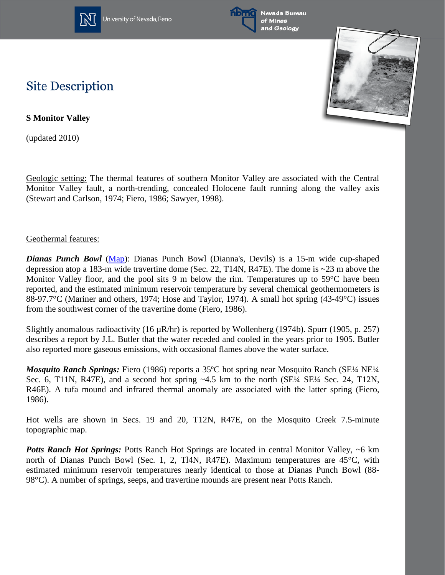

University of Nevada, Reno



Nevada Bureau of Mines and Geology



## **Site Description**

**S Monitor Valley**

(updated 2010)

Geologic setting: The thermal features of southern Monitor Valley are associated with the Central Monitor Valley fault, a north-trending, concealed Holocene fault running along the valley axis (Stewart and Carlson, 1974; Fiero, 1986; Sawyer, 1998).

## Geothermal features:

*Dianas Punch Bowl* [\(Map\)](http://www.nbmg.unr.edu/geothermal/detailedmaps/Dianas%20Punch%20Bowl.pdf): Dianas Punch Bowl (Dianna's, Devils) is a 15-m wide cup-shaped depression atop a 183-m wide travertine dome (Sec. 22, T14N, R47E). The dome is ~23 m above the Monitor Valley floor, and the pool sits 9 m below the rim. Temperatures up to 59<sup>o</sup>C have been reported, and the estimated minimum reservoir temperature by several chemical geothermometers is 88-97.7°C (Mariner and others, 1974; Hose and Taylor, 1974). A small hot spring (43-49°C) issues from the southwest corner of the travertine dome (Fiero, 1986).

Slightly anomalous radioactivity (16  $\mu$ R/hr) is reported by Wollenberg (1974b). Spurr (1905, p. 257) describes a report by J.L. Butler that the water receded and cooled in the years prior to 1905. Butler also reported more gaseous emissions, with occasional flames above the water surface.

*Mosquito Ranch Springs: Fiero (1986) reports a 35<sup>o</sup>C hot spring near Mosquito Ranch (SE¼ NE¼* Sec. 6, T11N, R47E), and a second hot spring ~4.5 km to the north (SE¼ SE¼ Sec. 24, T12N, R46E). A tufa mound and infrared thermal anomaly are associated with the latter spring (Fiero, 1986).

Hot wells are shown in Secs. 19 and 20, T12N, R47E, on the Mosquito Creek 7.5-minute topographic map.

**Potts Ranch Hot Springs:** Potts Ranch Hot Springs are located in central Monitor Valley, ~6 km north of Dianas Punch Bowl (Sec. 1, 2, Tl4N, R47E). Maximum temperatures are 45°C, with estimated minimum reservoir temperatures nearly identical to those at Dianas Punch Bowl (88- 98°C). A number of springs, seeps, and travertine mounds are present near Potts Ranch.